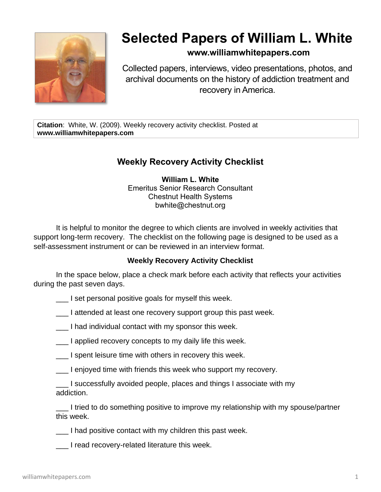

## **Selected Papers of William L. White**

## **www.williamwhitepapers.com**

Collected papers, interviews, video presentations, photos, and archival documents on the history of addiction treatment and recovery in America.

**Citation**: White, W. (2009). Weekly recovery activity checklist. Posted at **www.williamwhitepapers.com**

## **Weekly Recovery Activity Checklist**

**William L. White** Emeritus Senior Research Consultant Chestnut Health Systems bwhite@chestnut.org

It is helpful to monitor the degree to which clients are involved in weekly activities that support long-term recovery. The checklist on the following page is designed to be used as a self-assessment instrument or can be reviewed in an interview format.

## **Weekly Recovery Activity Checklist**

In the space below, place a check mark before each activity that reflects your activities during the past seven days.

- I set personal positive goals for myself this week.
- \_\_\_ I attended at least one recovery support group this past week.
- \_\_\_ I had individual contact with my sponsor this week.
- \_\_\_ I applied recovery concepts to my daily life this week.
- \_\_\_ I spent leisure time with others in recovery this week.
- \_\_\_ I enjoyed time with friends this week who support my recovery.

\_\_\_ I successfully avoided people, places and things I associate with my addiction.

I tried to do something positive to improve my relationship with my spouse/partner this week.

- \_\_\_ I had positive contact with my children this past week.
- I read recovery-related literature this week.